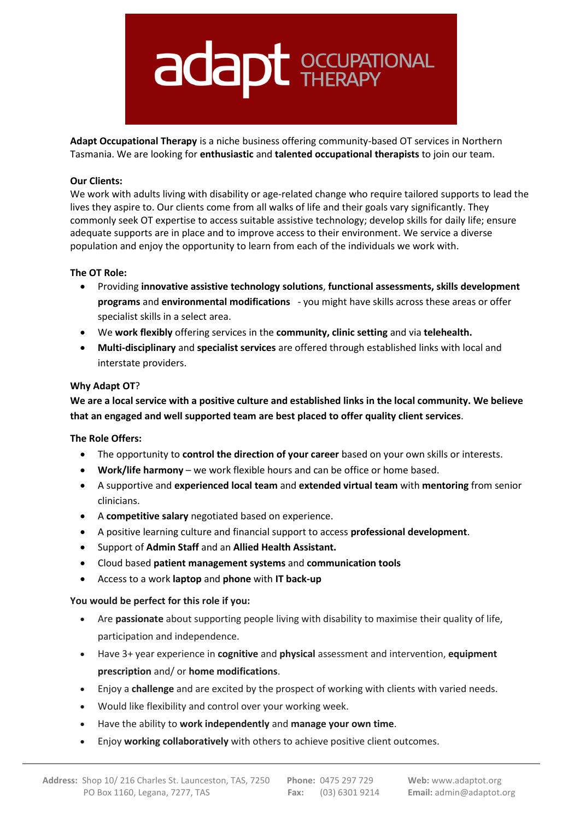

**Adapt Occupational Therapy** is a niche business offering community-based OT services in Northern Tasmania. We are looking for **enthusiastic** and **talented occupational therapists** to join our team.

# **Our Clients:**

We work with adults living with disability or age-related change who require tailored supports to lead the lives they aspire to. Our clients come from all walks of life and their goals vary significantly. They commonly seek OT expertise to access suitable assistive technology; develop skills for daily life; ensure adequate supports are in place and to improve access to their environment. We service a diverse population and enjoy the opportunity to learn from each of the individuals we work with.

# **The OT Role:**

- Providing **innovative assistive technology solutions**, **functional assessments, skills development programs** and **environmental modifications** - you might have skills across these areas or offer specialist skills in a select area.
- We **work flexibly** offering services in the **community, clinic setting** and via **telehealth.**
- **Multi-disciplinary** and **specialist services** are offered through established links with local and interstate providers.

# **Why Adapt OT**?

**We are a local service with a positive culture and established links in the local community. We believe that an engaged and well supported team are best placed to offer quality client services**.

# **The Role Offers:**

- The opportunity to **control the direction of your career** based on your own skills or interests.
- **Work/life harmony** we work flexible hours and can be office or home based.
- A supportive and **experienced local team** and **extended virtual team** with **mentoring** from senior clinicians.
- A **competitive salary** negotiated based on experience.
- A positive learning culture and financial support to access **professional development**.
- Support of **Admin Staff** and an **Allied Health Assistant.**
- Cloud based **patient management systems** and **communication tools**
- Access to a work **laptop** and **phone** with **IT back-up**

#### **You would be perfect for this role if you:**

- Are **passionate** about supporting people living with disability to maximise their quality of life, participation and independence.
- Have 3+ year experience in **cognitive** and **physical** assessment and intervention, **equipment prescription** and/ or **home modifications**.
- Enjoy a **challenge** and are excited by the prospect of working with clients with varied needs.
- Would like flexibility and control over your working week.
- Have the ability to **work independently** and **manage your own time**.
- Enjoy **working collaboratively** with others to achieve positive client outcomes.